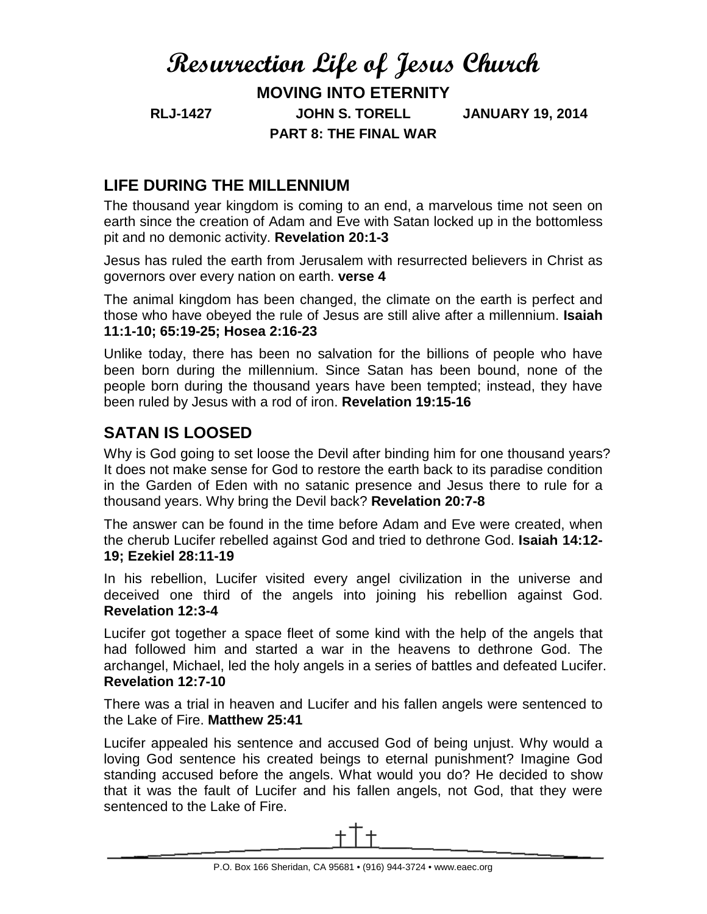# **Resurrection Life of Jesus Church MOVING INTO ETERNITY RLJ-1427 JOHN S. TORELL JANUARY 19, 2014 PART 8: THE FINAL WAR**

# **LIFE DURING THE MILLENNIUM**

The thousand year kingdom is coming to an end, a marvelous time not seen on earth since the creation of Adam and Eve with Satan locked up in the bottomless pit and no demonic activity. **Revelation 20:1-3**

Jesus has ruled the earth from Jerusalem with resurrected believers in Christ as governors over every nation on earth. **verse 4**

The animal kingdom has been changed, the climate on the earth is perfect and those who have obeyed the rule of Jesus are still alive after a millennium. **Isaiah 11:1-10; 65:19-25; Hosea 2:16-23**

Unlike today, there has been no salvation for the billions of people who have been born during the millennium. Since Satan has been bound, none of the people born during the thousand years have been tempted; instead, they have been ruled by Jesus with a rod of iron. **Revelation 19:15-16**

## **SATAN IS LOOSED**

Why is God going to set loose the Devil after binding him for one thousand years? It does not make sense for God to restore the earth back to its paradise condition in the Garden of Eden with no satanic presence and Jesus there to rule for a thousand years. Why bring the Devil back? **Revelation 20:7-8**

The answer can be found in the time before Adam and Eve were created, when the cherub Lucifer rebelled against God and tried to dethrone God. **Isaiah 14:12- 19; Ezekiel 28:11-19**

In his rebellion, Lucifer visited every angel civilization in the universe and deceived one third of the angels into joining his rebellion against God. **Revelation 12:3-4**

Lucifer got together a space fleet of some kind with the help of the angels that had followed him and started a war in the heavens to dethrone God. The archangel, Michael, led the holy angels in a series of battles and defeated Lucifer. **Revelation 12:7-10**

There was a trial in heaven and Lucifer and his fallen angels were sentenced to the Lake of Fire. **Matthew 25:41**

Lucifer appealed his sentence and accused God of being unjust. Why would a loving God sentence his created beings to eternal punishment? Imagine God standing accused before the angels. What would you do? He decided to show that it was the fault of Lucifer and his fallen angels, not God, that they were sentenced to the Lake of Fire.

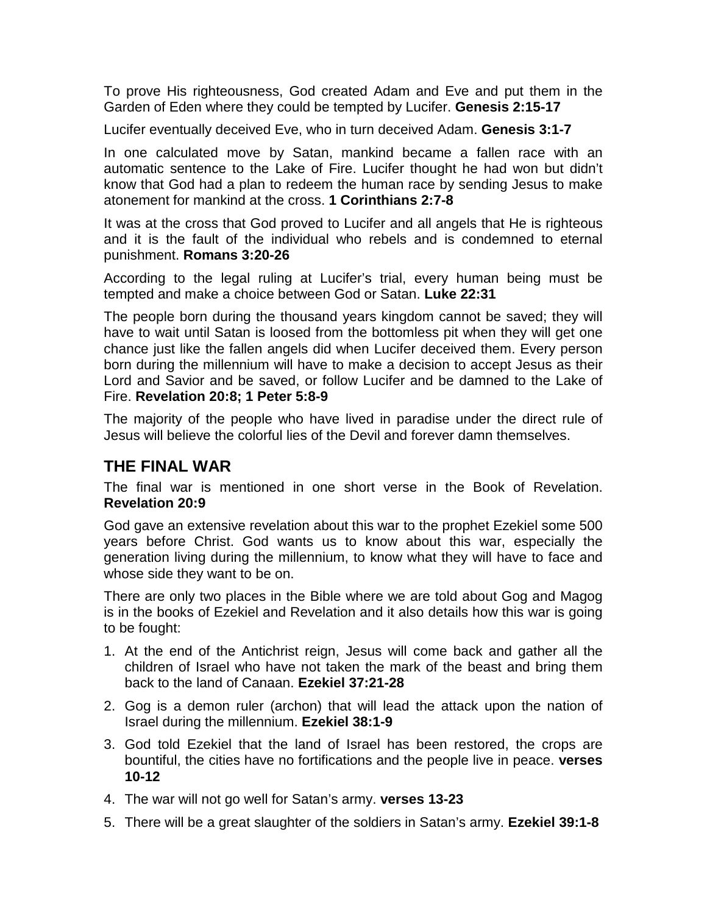To prove His righteousness, God created Adam and Eve and put them in the Garden of Eden where they could be tempted by Lucifer. **Genesis 2:15-17**

Lucifer eventually deceived Eve, who in turn deceived Adam. **Genesis 3:1-7**

In one calculated move by Satan, mankind became a fallen race with an automatic sentence to the Lake of Fire. Lucifer thought he had won but didn't know that God had a plan to redeem the human race by sending Jesus to make atonement for mankind at the cross. **1 Corinthians 2:7-8**

It was at the cross that God proved to Lucifer and all angels that He is righteous and it is the fault of the individual who rebels and is condemned to eternal punishment. **Romans 3:20-26**

According to the legal ruling at Lucifer's trial, every human being must be tempted and make a choice between God or Satan. **Luke 22:31**

The people born during the thousand years kingdom cannot be saved; they will have to wait until Satan is loosed from the bottomless pit when they will get one chance just like the fallen angels did when Lucifer deceived them. Every person born during the millennium will have to make a decision to accept Jesus as their Lord and Savior and be saved, or follow Lucifer and be damned to the Lake of Fire. **Revelation 20:8; 1 Peter 5:8-9**

The majority of the people who have lived in paradise under the direct rule of Jesus will believe the colorful lies of the Devil and forever damn themselves.

### **THE FINAL WAR**

The final war is mentioned in one short verse in the Book of Revelation. **Revelation 20:9**

God gave an extensive revelation about this war to the prophet Ezekiel some 500 years before Christ. God wants us to know about this war, especially the generation living during the millennium, to know what they will have to face and whose side they want to be on.

There are only two places in the Bible where we are told about Gog and Magog is in the books of Ezekiel and Revelation and it also details how this war is going to be fought:

- 1. At the end of the Antichrist reign, Jesus will come back and gather all the children of Israel who have not taken the mark of the beast and bring them back to the land of Canaan. **Ezekiel 37:21-28**
- 2. Gog is a demon ruler (archon) that will lead the attack upon the nation of Israel during the millennium. **Ezekiel 38:1-9**
- 3. God told Ezekiel that the land of Israel has been restored, the crops are bountiful, the cities have no fortifications and the people live in peace. **verses 10-12**
- 4. The war will not go well for Satan's army. **verses 13-23**
- 5. There will be a great slaughter of the soldiers in Satan's army. **Ezekiel 39:1-8**